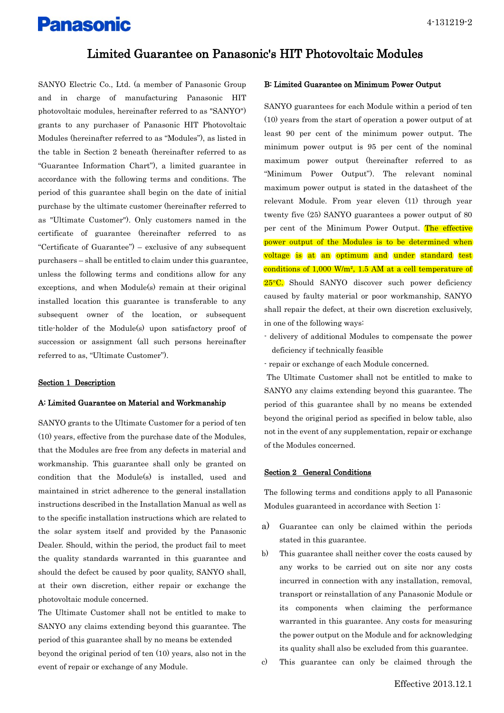# **Panasonic**

## Limited Guarantee on Panasonic's HIT Photovoltaic Modules

SANYO Electric Co., Ltd. (a member of Panasonic Group and in charge of manufacturing Panasonic HIT photovoltaic modules, hereinafter referred to as "SANYO") grants to any purchaser of Panasonic HIT Photovoltaic Modules (hereinafter referred to as "Modules"), as listed in the table in Section 2 beneath (hereinafter referred to as "Guarantee Information Chart"), a limited guarantee in accordance with the following terms and conditions. The period of this guarantee shall begin on the date of initial purchase by the ultimate customer (hereinafter referred to as "Ultimate Customer"). Only customers named in the certificate of guarantee (hereinafter referred to as "Certificate of Guarantee") – exclusive of any subsequent purchasers – shall be entitled to claim under this guarantee, unless the following terms and conditions allow for any exceptions, and when Module(s) remain at their original installed location this guarantee is transferable to any subsequent owner of the location, or subsequent title-holder of the Module(s) upon satisfactory proof of succession or assignment (all such persons hereinafter referred to as, "Ultimate Customer").

#### Section 1 Description

#### A: Limited Guarantee on Material and Workmanship

SANYO grants to the Ultimate Customer for a period of ten (10) years, effective from the purchase date of the Modules, that the Modules are free from any defects in material and workmanship. This guarantee shall only be granted on condition that the Module(s) is installed, used and maintained in strict adherence to the general installation instructions described in the Installation Manual as well as to the specific installation instructions which are related to the solar system itself and provided by the Panasonic Dealer. Should, within the period, the product fail to meet the quality standards warranted in this guarantee and should the defect be caused by poor quality, SANYO shall, at their own discretion, either repair or exchange the photovoltaic module concerned.

The Ultimate Customer shall not be entitled to make to SANYO any claims extending beyond this guarantee. The period of this guarantee shall by no means be extended beyond the original period of ten (10) years, also not in the event of repair or exchange of any Module.

#### B: Limited Guarantee on Minimum Power Output

SANYO guarantees for each Module within a period of ten (10) years from the start of operation a power output of at least 90 per cent of the minimum power output. The minimum power output is 95 per cent of the nominal maximum power output (hereinafter referred to as "Minimum Power Output"). The relevant nominal maximum power output is stated in the datasheet of the relevant Module. From year eleven (11) through year twenty five (25) SANYO guarantees a power output of 80 per cent of the Minimum Power Output. The effective power output of the Modules is to be determined when voltage is at an optimum and under standard test conditions of 1,000 W/m², 1.5 AM at a cell temperature of 25°C. Should SANYO discover such power deficiency caused by faulty material or poor workmanship, SANYO shall repair the defect, at their own discretion exclusively, in one of the following ways:

- delivery of additional Modules to compensate the power deficiency if technically feasible
- repair or exchange of each Module concerned.

The Ultimate Customer shall not be entitled to make to SANYO any claims extending beyond this guarantee. The period of this guarantee shall by no means be extended beyond the original period as specified in below table, also not in the event of any supplementation, repair or exchange of the Modules concerned.

#### Section 2 General Conditions

The following terms and conditions apply to all Panasonic Modules guaranteed in accordance with Section 1:

- a) Guarantee can only be claimed within the periods stated in this guarantee.
- b) This guarantee shall neither cover the costs caused by any works to be carried out on site nor any costs incurred in connection with any installation, removal, transport or reinstallation of any Panasonic Module or its components when claiming the performance warranted in this guarantee. Any costs for measuring the power output on the Module and for acknowledging its quality shall also be excluded from this guarantee.
- c) This guarantee can only be claimed through the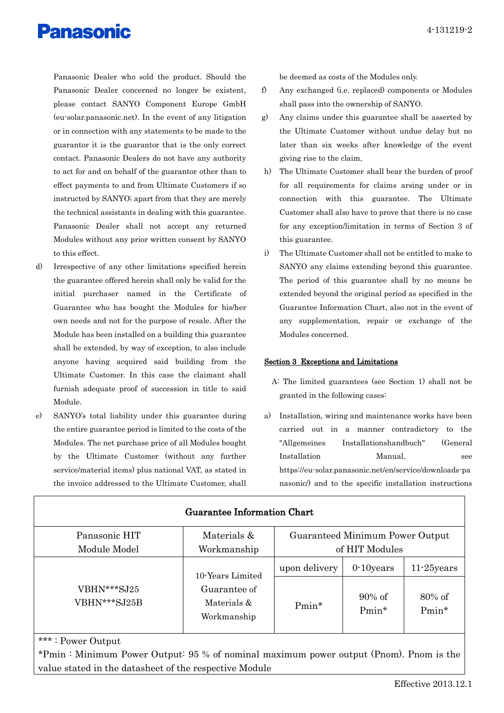# **Panasonic**

Panasonic Dealer who sold the product. Should the Panasonic Dealer concerned no longer be existent, please contact SANYO Component Europe GmbH (eu-solar.panasonic.net). In the event of any litigation or in connection with any statements to be made to the guarantor it is the guarantor that is the only correct contact. Panasonic Dealers do not have any authority to act for and on behalf of the guarantor other than to effect payments to and from Ultimate Customers if so instructed by SANYO; apart from that they are merely the technical assistants in dealing with this guarantee. Panasonic Dealer shall not accept any returned Modules without any prior written consent by SANYO to this effect.

- d) Irrespective of any other limitations specified herein the guarantee offered herein shall only be valid for the initial purchaser named in the Certificate of Guarantee who has bought the Modules for his/her own needs and not for the purpose of resale. After the Module has been installed on a building this guarantee shall be extended, by way of exception, to also include anyone having acquired said building from the Ultimate Customer. In this case the claimant shall furnish adequate proof of succession in title to said Module.
- e) SANYO's total liability under this guarantee during the entire guarantee period is limited to the costs of the Modules. The net purchase price of all Modules bought by the Ultimate Customer (without any further service/material items) plus national VAT, as stated in the invoice addressed to the Ultimate Customer, shall

be deemed as costs of the Modules only.

- f) Any exchanged (i.e. replaced) components or Modules shall pass into the ownership of SANYO.
- g) Any claims under this guarantee shall be asserted by the Ultimate Customer without undue delay but no later than six weeks after knowledge of the event giving rise to the claim,
- h) The Ultimate Customer shall bear the burden of proof for all requirements for claims arsing under or in connection with this guarantee. The Ultimate Customer shall also have to prove that there is no case for any exception/limitation in terms of Section 3 of this guarantee.
- i) The Ultimate Customer shall not be entitled to make to SANYO any claims extending beyond this guarantee. The period of this guarantee shall by no means be extended beyond the original period as specified in the Guarantee Information Chart, also not in the event of any supplementation, repair or exchange of the Modules concerned.

### Section 3 Exceptions and Limitations

- A: The limited guarantees (see Section 1) shall not be granted in the following cases:
- a) Installation, wiring and maintenance works have been carried out in a manner contradictory to the "Allgemeines Installationshandbuch" (General Installation Manual, see https://eu-solar.panasonic.net/en/service/downloads-pa nasonic/) and to the specific installation instructions

| Panasonic HIT               | Materials &                                                    | Guaranteed Minimum Power Output |                                             |                                              |
|-----------------------------|----------------------------------------------------------------|---------------------------------|---------------------------------------------|----------------------------------------------|
| Module Model                | Workmanship                                                    | of HIT Modules                  |                                             |                                              |
| VBHN***SJ25<br>VBHN***SJ25B | 10-Years Limited<br>Guarantee of<br>Materials &<br>Workmanship | upon delivery<br>Pmin*          | $0-10$ years<br>$90\% \text{ of }$<br>Pmin* | $11-25$ years<br>$80\% \text{ of }$<br>Pmin* |

## Guarantee Information Chart

### \*\*\* : Power Output

\*Pmin : Minimum Power Output: 95 % of nominal maximum power output (Pnom). Pnom is the value stated in the datasheet of the respective Module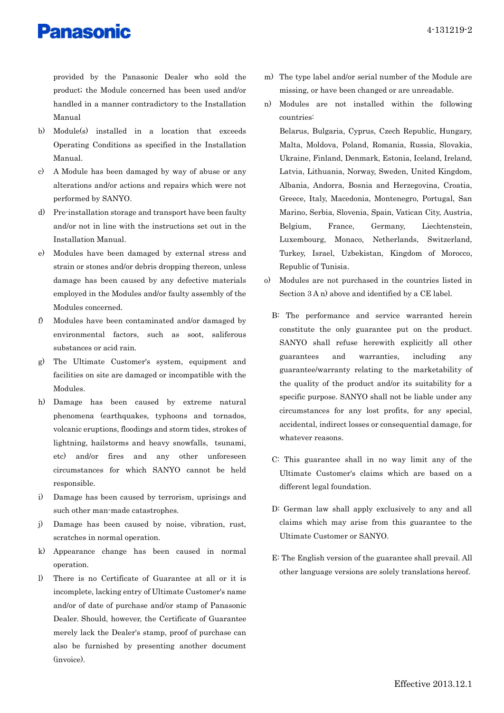# **Panasonic**

provided by the Panasonic Dealer who sold the product; the Module concerned has been used and/or handled in a manner contradictory to the Installation Manual

- b) Module(s) installed in a location that exceeds Operating Conditions as specified in the Installation Manual.
- c) A Module has been damaged by way of abuse or any alterations and/or actions and repairs which were not performed by SANYO.
- d) Pre-installation storage and transport have been faulty and/or not in line with the instructions set out in the Installation Manual.
- e) Modules have been damaged by external stress and strain or stones and/or debris dropping thereon, unless damage has been caused by any defective materials employed in the Modules and/or faulty assembly of the Modules concerned.
- f) Modules have been contaminated and/or damaged by environmental factors, such as soot, saliferous substances or acid rain.
- g) The Ultimate Customer's system, equipment and facilities on site are damaged or incompatible with the Modules.
- h) Damage has been caused by extreme natural phenomena (earthquakes, typhoons and tornados, volcanic eruptions, floodings and storm tides, strokes of lightning, hailstorms and heavy snowfalls, tsunami, etc) and/or fires and any other unforeseen circumstances for which SANYO cannot be held responsible.
- i) Damage has been caused by terrorism, uprisings and such other man-made catastrophes.
- j) Damage has been caused by noise, vibration, rust, scratches in normal operation.
- k) Appearance change has been caused in normal operation.
- l) There is no Certificate of Guarantee at all or it is incomplete, lacking entry of Ultimate Customer's name and/or of date of purchase and/or stamp of Panasonic Dealer. Should, however, the Certificate of Guarantee merely lack the Dealer's stamp, proof of purchase can also be furnished by presenting another document (invoice).
- m) The type label and/or serial number of the Module are missing, or have been changed or are unreadable.
- n) Modules are not installed within the following countries:

Belarus, Bulgaria, Cyprus, Czech Republic, Hungary, Malta, Moldova, Poland, Romania, Russia, Slovakia, Ukraine, Finland, Denmark, Estonia, Iceland, Ireland, Latvia, Lithuania, Norway, Sweden, United Kingdom, Albania, Andorra, Bosnia and Herzegovina, Croatia, Greece, Italy, Macedonia, Montenegro, Portugal, San Marino, Serbia, Slovenia, Spain, Vatican City, Austria, Belgium, France, Germany, Liechtenstein, Luxembourg, Monaco, Netherlands, Switzerland, Turkey, Israel, Uzbekistan, Kingdom of Morocco, Republic of Tunisia.

- o) Modules are not purchased in the countries listed in Section 3 A n) above and identified by a CE label.
	- B: The performance and service warranted herein constitute the only guarantee put on the product. SANYO shall refuse herewith explicitly all other guarantees and warranties, including any guarantee/warranty relating to the marketability of the quality of the product and/or its suitability for a specific purpose. SANYO shall not be liable under any circumstances for any lost profits, for any special, accidental, indirect losses or consequential damage, for whatever reasons.
	- C: This guarantee shall in no way limit any of the Ultimate Customer's claims which are based on a different legal foundation.
	- D: German law shall apply exclusively to any and all claims which may arise from this guarantee to the Ultimate Customer or SANYO.
	- E: The English version of the guarantee shall prevail. All other language versions are solely translations hereof.